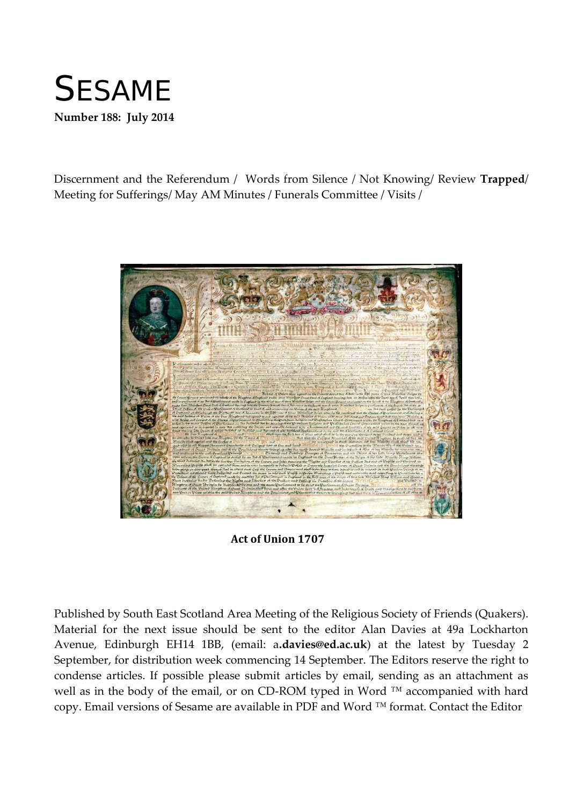

Discernment and the Referendum / Words from Silence / Not Knowing/ Review **Trapped**/ Meeting for Sufferings/ May AM Minutes / Funerals Committee / Visits /



**Act of Union 1707**

Published by South East Scotland Area Meeting of the Religious Society of Friends (Quakers). Material for the next issue should be sent to the editor Alan Davies at 49a Lockharton Avenue, Edinburgh EH14 1BB, (email: a**.davies@ed.ac.uk**) at the latest by Tuesday 2 September, for distribution week commencing 14 September. The Editors reserve the right to condense articles. If possible please submit articles by email, sending as an attachment as well as in the body of the email, or on CD-ROM typed in Word ™ accompanied with hard copy. Email versions of Sesame are available in PDF and Word ™ format. Contact the Editor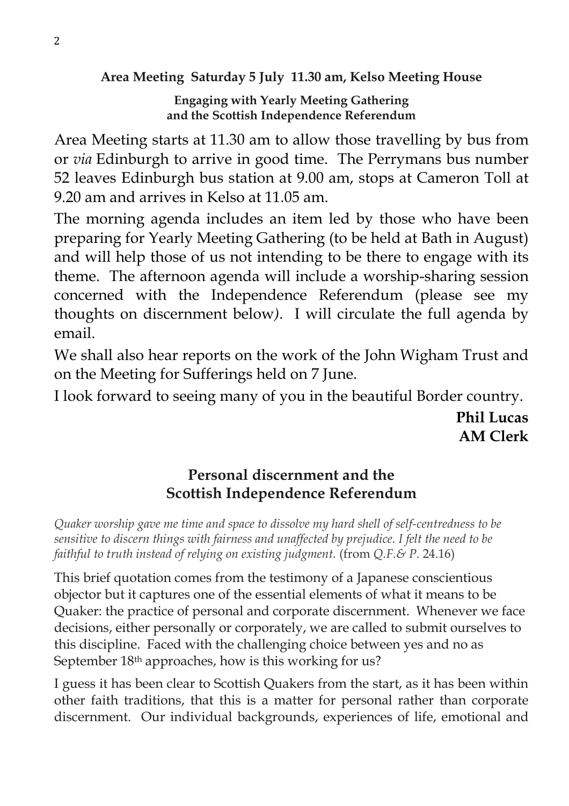**Area Meeting Saturday 5 July 11.30 am, Kelso Meeting House**

**Engaging with Yearly Meeting Gathering and the Scottish Independence Referendum**

Area Meeting starts at 11.30 am to allow those travelling by bus from or *via* Edinburgh to arrive in good time. The Perrymans bus number 52 leaves Edinburgh bus station at 9.00 am, stops at Cameron Toll at 9.20 am and arrives in Kelso at 11.05 am.

The morning agenda includes an item led by those who have been preparing for Yearly Meeting Gathering (to be held at Bath in August) and will help those of us not intending to be there to engage with its theme. The afternoon agenda will include a worship-sharing session concerned with the Independence Referendum (please see my thoughts on discernment below*).* I will circulate the full agenda by email.

We shall also hear reports on the work of the John Wigham Trust and on the Meeting for Sufferings held on 7 June.

I look forward to seeing many of you in the beautiful Border country.

**Phil Lucas AM Clerk**

# **Personal discernment and the Scottish Independence Referendum**

*Quaker worship gave me time and space to dissolve my hard shell of self-centredness to be sensitive to discern things with fairness and unaffected by prejudice. I felt the need to be faithful to truth instead of relying on existing judgment.* (from *Q.F.& P.* 24.16)

This brief quotation comes from the testimony of a Japanese conscientious objector but it captures one of the essential elements of what it means to be Quaker: the practice of personal and corporate discernment. Whenever we face decisions, either personally or corporately, we are called to submit ourselves to this discipline. Faced with the challenging choice between yes and no as September 18<sup>th</sup> approaches, how is this working for us?

I guess it has been clear to Scottish Quakers from the start, as it has been within other faith traditions, that this is a matter for personal rather than corporate discernment. Our individual backgrounds, experiences of life, emotional and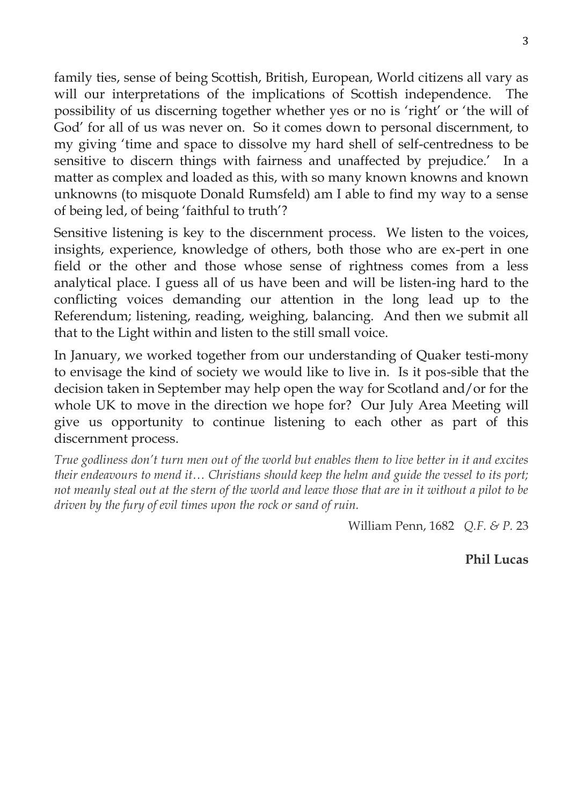family ties, sense of being Scottish, British, European, World citizens all vary as will our interpretations of the implications of Scottish independence. The possibility of us discerning together whether yes or no is 'right' or 'the will of God' for all of us was never on. So it comes down to personal discernment, to my giving 'time and space to dissolve my hard shell of self-centredness to be sensitive to discern things with fairness and unaffected by prejudice.' In a matter as complex and loaded as this, with so many known knowns and known unknowns (to misquote Donald Rumsfeld) am I able to find my way to a sense of being led, of being 'faithful to truth'?

Sensitive listening is key to the discernment process. We listen to the voices, insights, experience, knowledge of others, both those who are ex-pert in one field or the other and those whose sense of rightness comes from a less analytical place. I guess all of us have been and will be listen-ing hard to the conflicting voices demanding our attention in the long lead up to the Referendum; listening, reading, weighing, balancing. And then we submit all that to the Light within and listen to the still small voice.

In January, we worked together from our understanding of Quaker testi-mony to envisage the kind of society we would like to live in. Is it pos-sible that the decision taken in September may help open the way for Scotland and/or for the whole UK to move in the direction we hope for? Our July Area Meeting will give us opportunity to continue listening to each other as part of this discernment process.

*True godliness don't turn men out of the world but enables them to live better in it and excites their endeavours to mend it… Christians should keep the helm and guide the vessel to its port; not meanly steal out at the stern of the world and leave those that are in it without a pilot to be driven by the fury of evil times upon the rock or sand of ruin.* 

William Penn, 1682 *Q.F. & P.* 23

## **Phil Lucas**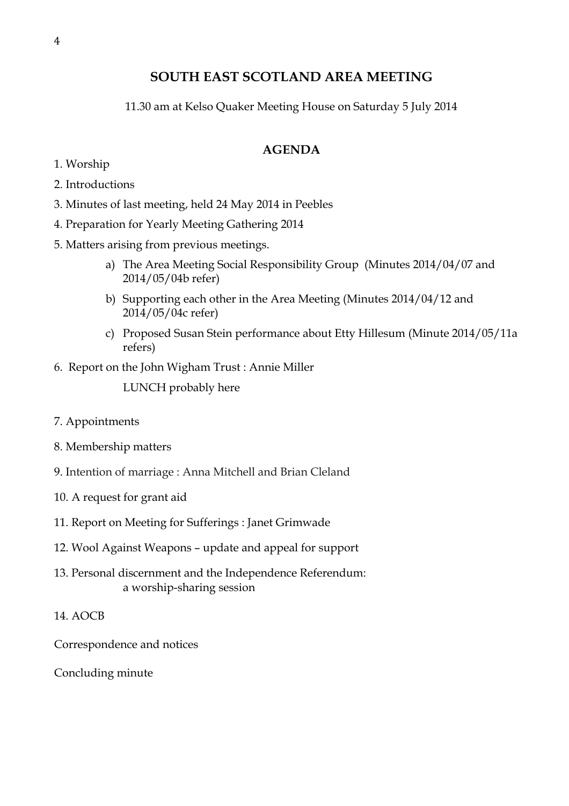## **SOUTH EAST SCOTLAND AREA MEETING**

11.30 am at Kelso Quaker Meeting House on Saturday 5 July 2014

### **AGENDA**

- 1. Worship
- 2. Introductions
- 3. Minutes of last meeting, held 24 May 2014 in Peebles
- 4. Preparation for Yearly Meeting Gathering 2014
- 5. Matters arising from previous meetings.
	- a) The Area Meeting Social Responsibility Group (Minutes 2014/04/07 and 2014/05/04b refer)
	- b) Supporting each other in the Area Meeting (Minutes 2014/04/12 and 2014/05/04c refer)
	- c) Proposed Susan Stein performance about Etty Hillesum (Minute 2014/05/11a refers)
- 6. Report on the John Wigham Trust : Annie Miller

LUNCH probably here

- 7. Appointments
- 8. Membership matters
- 9. Intention of marriage : Anna Mitchell and Brian Cleland
- 10. A request for grant aid
- 11. Report on Meeting for Sufferings : Janet Grimwade
- 12. Wool Against Weapons update and appeal for support
- 13. Personal discernment and the Independence Referendum: a worship-sharing session
- 14. AOCB

Correspondence and notices

Concluding minute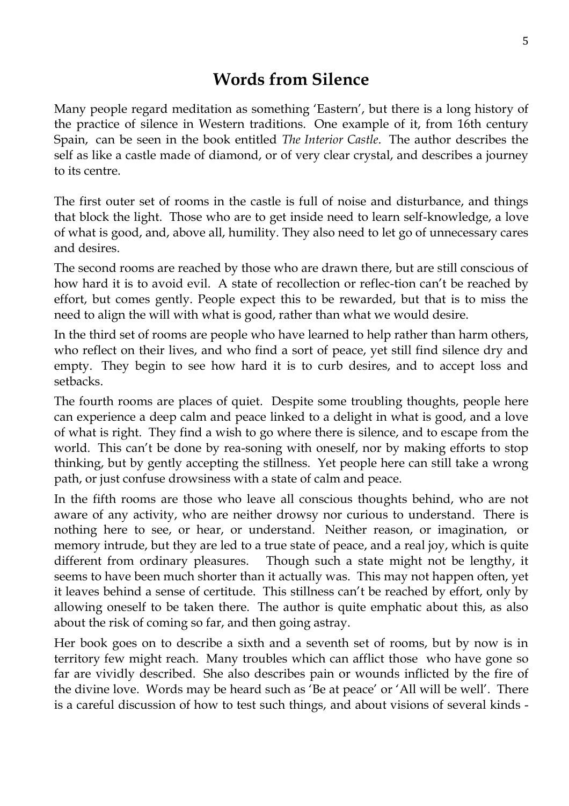# **Words from Silence**

Many people regard meditation as something 'Eastern', but there is a long history of the practice of silence in Western traditions. One example of it, from 16th century Spain, can be seen in the book entitled *The Interior Castle*. The author describes the self as like a castle made of diamond, or of very clear crystal, and describes a journey to its centre.

The first outer set of rooms in the castle is full of noise and disturbance, and things that block the light. Those who are to get inside need to learn self-knowledge, a love of what is good, and, above all, humility. They also need to let go of unnecessary cares and desires.

The second rooms are reached by those who are drawn there, but are still conscious of how hard it is to avoid evil. A state of recollection or reflec-tion can't be reached by effort, but comes gently. People expect this to be rewarded, but that is to miss the need to align the will with what is good, rather than what we would desire.

In the third set of rooms are people who have learned to help rather than harm others, who reflect on their lives, and who find a sort of peace, yet still find silence dry and empty. They begin to see how hard it is to curb desires, and to accept loss and setbacks.

The fourth rooms are places of quiet. Despite some troubling thoughts, people here can experience a deep calm and peace linked to a delight in what is good, and a love of what is right. They find a wish to go where there is silence, and to escape from the world. This can't be done by rea-soning with oneself, nor by making efforts to stop thinking, but by gently accepting the stillness. Yet people here can still take a wrong path, or just confuse drowsiness with a state of calm and peace.

In the fifth rooms are those who leave all conscious thoughts behind, who are not aware of any activity, who are neither drowsy nor curious to understand. There is nothing here to see, or hear, or understand. Neither reason, or imagination, or memory intrude, but they are led to a true state of peace, and a real joy, which is quite different from ordinary pleasures. Though such a state might not be lengthy, it seems to have been much shorter than it actually was. This may not happen often, yet it leaves behind a sense of certitude. This stillness can't be reached by effort, only by allowing oneself to be taken there. The author is quite emphatic about this, as also about the risk of coming so far, and then going astray.

Her book goes on to describe a sixth and a seventh set of rooms, but by now is in territory few might reach. Many troubles which can afflict those who have gone so far are vividly described. She also describes pain or wounds inflicted by the fire of the divine love. Words may be heard such as 'Be at peace' or 'All will be well'. There is a careful discussion of how to test such things, and about visions of several kinds -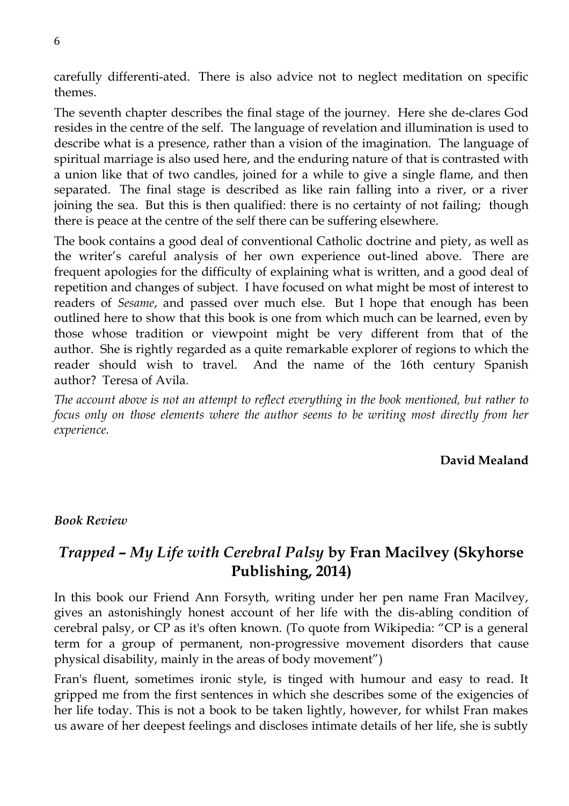carefully differenti-ated. There is also advice not to neglect meditation on specific themes.

The seventh chapter describes the final stage of the journey. Here she de-clares God resides in the centre of the self. The language of revelation and illumination is used to describe what is a presence, rather than a vision of the imagination. The language of spiritual marriage is also used here, and the enduring nature of that is contrasted with a union like that of two candles, joined for a while to give a single flame, and then separated. The final stage is described as like rain falling into a river, or a river joining the sea. But this is then qualified: there is no certainty of not failing; though there is peace at the centre of the self there can be suffering elsewhere.

The book contains a good deal of conventional Catholic doctrine and piety, as well as the writer's careful analysis of her own experience out-lined above. There are frequent apologies for the difficulty of explaining what is written, and a good deal of repetition and changes of subject. I have focused on what might be most of interest to readers of *Sesame*, and passed over much else. But I hope that enough has been outlined here to show that this book is one from which much can be learned, even by those whose tradition or viewpoint might be very different from that of the author. She is rightly regarded as a quite remarkable explorer of regions to which the reader should wish to travel. And the name of the 16th century Spanish author? Teresa of Avila.

*The account above is not an attempt to reflect everything in the book mentioned, but rather to focus only on those elements where the author seems to be writing most directly from her experience.*

#### **David Mealand**

#### *Book Review*

## *Trapped – My Life with Cerebral Palsy* **by Fran Macilvey (Skyhorse Publishing, 2014)**

In this book our Friend Ann Forsyth, writing under her pen name Fran Macilvey, gives an astonishingly honest account of her life with the dis-abling condition of cerebral palsy, or CP as it's often known. (To quote from Wikipedia: "CP is a general term for a group of permanent, non[-progressive](http://en.wikipedia.org/wiki/Progressive_disease) [movement disorders t](http://en.wikipedia.org/wiki/Motor_system)hat cause physical disability, mainly in the areas of body movement")

Fran's fluent, sometimes ironic style, is tinged with humour and easy to read. It gripped me from the first sentences in which she describes some of the exigencies of her life today. This is not a book to be taken lightly, however, for whilst Fran makes us aware of her deepest feelings and discloses intimate details of her life, she is subtly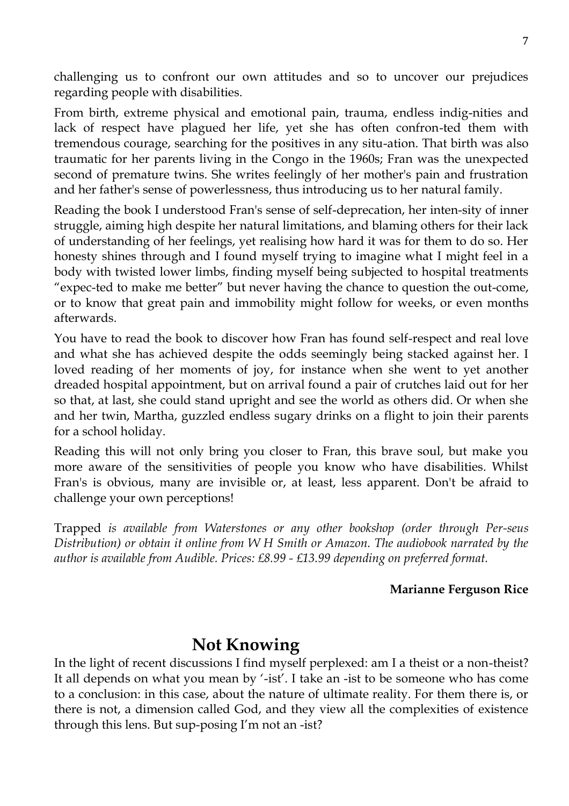challenging us to confront our own attitudes and so to uncover our prejudices regarding people with disabilities.

From birth, extreme physical and emotional pain, trauma, endless indig-nities and lack of respect have plagued her life, yet she has often confron-ted them with tremendous courage, searching for the positives in any situ-ation. That birth was also traumatic for her parents living in the Congo in the 1960s; Fran was the unexpected second of premature twins. She writes feelingly of her mother's pain and frustration and her father's sense of powerlessness, thus introducing us to her natural family.

Reading the book I understood Fran's sense of self-deprecation, her inten-sity of inner struggle, aiming high despite her natural limitations, and blaming others for their lack of understanding of her feelings, yet realising how hard it was for them to do so. Her honesty shines through and I found myself trying to imagine what I might feel in a body with twisted lower limbs, finding myself being subjected to hospital treatments "expec-ted to make me better" but never having the chance to question the out-come, or to know that great pain and immobility might follow for weeks, or even months afterwards.

You have to read the book to discover how Fran has found self-respect and real love and what she has achieved despite the odds seemingly being stacked against her. I loved reading of her moments of joy, for instance when she went to yet another dreaded hospital appointment, but on arrival found a pair of crutches laid out for her so that, at last, she could stand upright and see the world as others did. Or when she and her twin, Martha, guzzled endless sugary drinks on a flight to join their parents for a school holiday.

Reading this will not only bring you closer to Fran, this brave soul, but make you more aware of the sensitivities of people you know who have disabilities. Whilst Fran's is obvious, many are invisible or, at least, less apparent. Don't be afraid to challenge your own perceptions!

Trapped *is available from Waterstones or any other bookshop (order through Per-seus Distribution) or obtain it online from W H Smith or Amazon. The audiobook narrated by the author is available from Audible. Prices: £8.99 - £13.99 depending on preferred format.*

#### **Marianne Ferguson Rice**

# **Not Knowing**

In the light of recent discussions I find myself perplexed: am I a theist or a non-theist? It all depends on what you mean by '-ist'. I take an -ist to be someone who has come to a conclusion: in this case, about the nature of ultimate reality. For them there is, or there is not, a dimension called God, and they view all the complexities of existence through this lens. But sup-posing I'm not an -ist?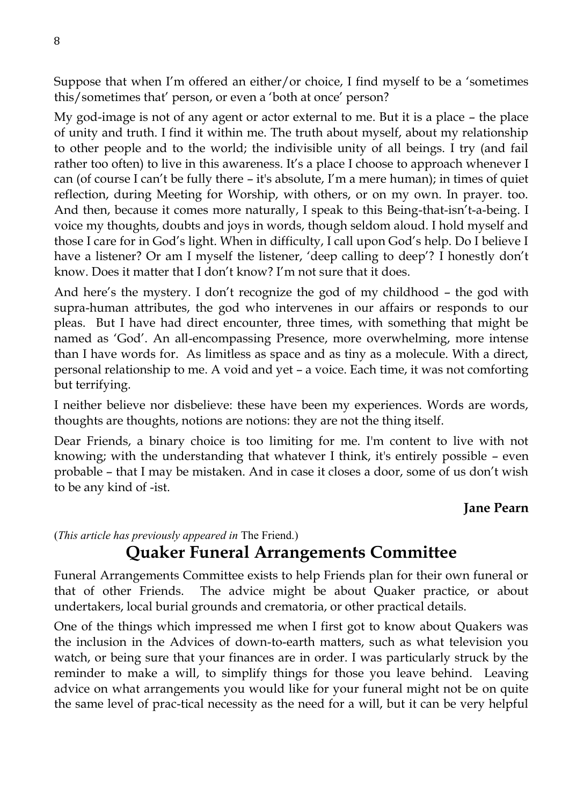Suppose that when I'm offered an either/or choice, I find myself to be a 'sometimes this/sometimes that' person, or even a 'both at once' person?

My god-image is not of any agent or actor external to me. But it is a place – the place of unity and truth. I find it within me. The truth about myself, about my relationship to other people and to the world; the indivisible unity of all beings. I try (and fail rather too often) to live in this awareness. It's a place I choose to approach whenever I can (of course I can't be fully there – it's absolute, I'm a mere human); in times of quiet reflection, during Meeting for Worship, with others, or on my own. In prayer. too. And then, because it comes more naturally, I speak to this Being-that-isn't-a-being. I voice my thoughts, doubts and joys in words, though seldom aloud. I hold myself and those I care for in God's light. When in difficulty, I call upon God's help. Do I believe I have a listener? Or am I myself the listener, 'deep calling to deep'? I honestly don't know. Does it matter that I don't know? I'm not sure that it does.

And here's the mystery. I don't recognize the god of my childhood – the god with supra-human attributes, the god who intervenes in our affairs or responds to our pleas. But I have had direct encounter, three times, with something that might be named as 'God'. An all-encompassing Presence, more overwhelming, more intense than I have words for. As limitless as space and as tiny as a molecule. With a direct, personal relationship to me. A void and yet – a voice. Each time, it was not comforting but terrifying.

I neither believe nor disbelieve: these have been my experiences. Words are words, thoughts are thoughts, notions are notions: they are not the thing itself.

Dear Friends, a binary choice is too limiting for me. I'm content to live with not knowing; with the understanding that whatever I think, it's entirely possible – even probable – that I may be mistaken. And in case it closes a door, some of us don't wish to be any kind of -ist.

## **Jane Pearn**

(*This article has previously appeared in* The Friend.)

# **Quaker Funeral Arrangements Committee**

Funeral Arrangements Committee exists to help Friends plan for their own funeral or that of other Friends. The advice might be about Quaker practice, or about undertakers, local burial grounds and crematoria, or other practical details.

One of the things which impressed me when I first got to know about Quakers was the inclusion in the Advices of down-to-earth matters, such as what television you watch, or being sure that your finances are in order. I was particularly struck by the reminder to make a will, to simplify things for those you leave behind. Leaving advice on what arrangements you would like for your funeral might not be on quite the same level of prac-tical necessity as the need for a will, but it can be very helpful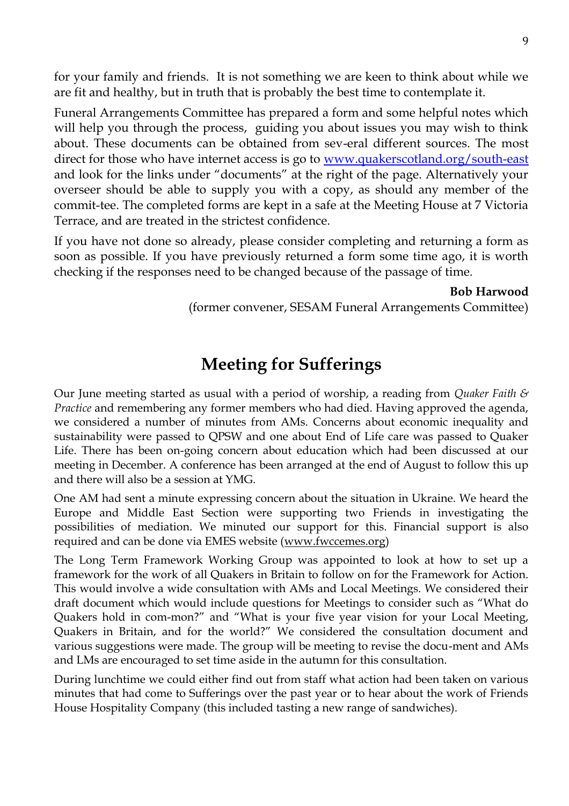for your family and friends. It is not something we are keen to think about while we are fit and healthy, but in truth that is probably the best time to contemplate it.

Funeral Arrangements Committee has prepared a form and some helpful notes which will help you through the process, guiding you about issues you may wish to think about. These documents can be obtained from sev-eral different sources. The most direct for those who have internet access is go to [www.quakerscotland.org/south-east](http://www.quakerscotland.org/south-east) and look for the links under "documents" at the right of the page. Alternatively your overseer should be able to supply you with a copy, as should any member of the commit-tee. The completed forms are kept in a safe at the Meeting House at 7 Victoria Terrace, and are treated in the strictest confidence.

If you have not done so already, please consider completing and returning a form as soon as possible. If you have previously returned a form some time ago, it is worth checking if the responses need to be changed because of the passage of time.

**Bob Harwood** 

(former convener, SESAM Funeral Arrangements Committee)

# **Meeting for Sufferings**

Our June meeting started as usual with a period of worship, a reading from *Quaker Faith & Practice* and remembering any former members who had died. Having approved the agenda, we considered a number of minutes from AMs. Concerns about economic inequality and sustainability were passed to QPSW and one about End of Life care was passed to Quaker Life. There has been on-going concern about education which had been discussed at our meeting in December. A conference has been arranged at the end of August to follow this up and there will also be a session at YMG.

One AM had sent a minute expressing concern about the situation in Ukraine. We heard the Europe and Middle East Section were supporting two Friends in investigating the possibilities of mediation. We minuted our support for this. Financial support is also required and can be done via EMES website (www.fwccemes.org)

The Long Term Framework Working Group was appointed to look at how to set up a framework for the work of all Quakers in Britain to follow on for the Framework for Action. This would involve a wide consultation with AMs and Local Meetings. We considered their draft document which would include questions for Meetings to consider such as "What do Quakers hold in com-mon?" and "What is your five year vision for your Local Meeting, Quakers in Britain, and for the world?" We considered the consultation document and various suggestions were made. The group will be meeting to revise the docu-ment and AMs and LMs are encouraged to set time aside in the autumn for this consultation.

During lunchtime we could either find out from staff what action had been taken on various minutes that had come to Sufferings over the past year or to hear about the work of Friends House Hospitality Company (this included tasting a new range of sandwiches).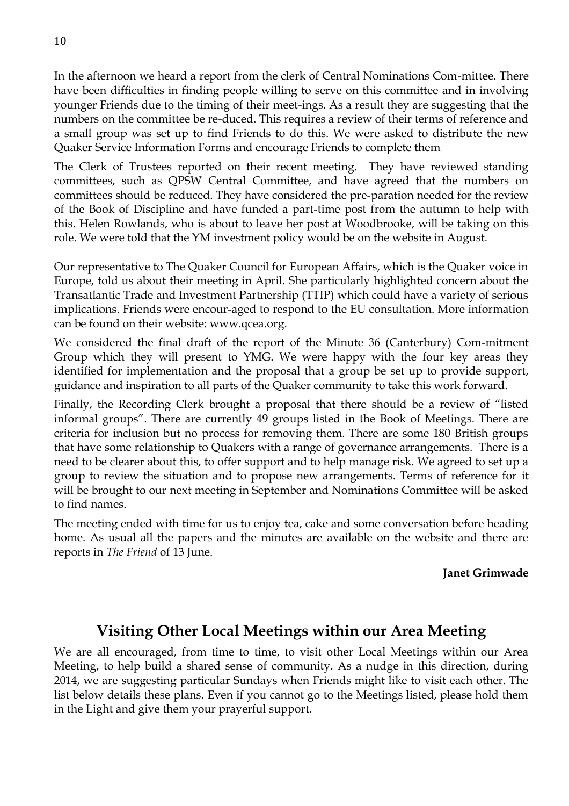In the afternoon we heard a report from the clerk of Central Nominations Com-mittee. There have been difficulties in finding people willing to serve on this committee and in involving younger Friends due to the timing of their meet-ings. As a result they are suggesting that the numbers on the committee be re-duced. This requires a review of their terms of reference and a small group was set up to find Friends to do this. We were asked to distribute the new Quaker Service Information Forms and encourage Friends to complete them

The Clerk of Trustees reported on their recent meeting. They have reviewed standing committees, such as QPSW Central Committee, and have agreed that the numbers on committees should be reduced. They have considered the pre-paration needed for the review of the Book of Discipline and have funded a part-time post from the autumn to help with this. Helen Rowlands, who is about to leave her post at Woodbrooke, will be taking on this role. We were told that the YM investment policy would be on the website in August.

Our representative to The Quaker Council for European Affairs, which is the Quaker voice in Europe, told us about their meeting in April. She particularly highlighted concern about the Transatlantic Trade and Investment Partnership (TTIP) which could have a variety of serious implications. Friends were encour-aged to respond to the EU consultation. More information can be found on their website: [www.qcea.org.](http://www.qcea.org/)

We considered the final draft of the report of the Minute 36 (Canterbury) Com-mitment Group which they will present to YMG. We were happy with the four key areas they identified for implementation and the proposal that a group be set up to provide support, guidance and inspiration to all parts of the Quaker community to take this work forward.

Finally, the Recording Clerk brought a proposal that there should be a review of "listed informal groups". There are currently 49 groups listed in the Book of Meetings. There are criteria for inclusion but no process for removing them. There are some 180 British groups that have some relationship to Quakers with a range of governance arrangements. There is a need to be clearer about this, to offer support and to help manage risk. We agreed to set up a group to review the situation and to propose new arrangements. Terms of reference for it will be brought to our next meeting in September and Nominations Committee will be asked to find names.

The meeting ended with time for us to enjoy tea, cake and some conversation before heading home. As usual all the papers and the minutes are available on the website and there are reports in *The Friend* of 13 June.

#### **Janet Grimwade**

## **Visiting Other Local Meetings within our Area Meeting**

We are all encouraged, from time to time, to visit other Local Meetings within our Area Meeting, to help build a shared sense of community. As a nudge in this direction, during 2014, we are suggesting particular Sundays when Friends might like to visit each other. The list below details these plans. Even if you cannot go to the Meetings listed, please hold them in the Light and give them your prayerful support.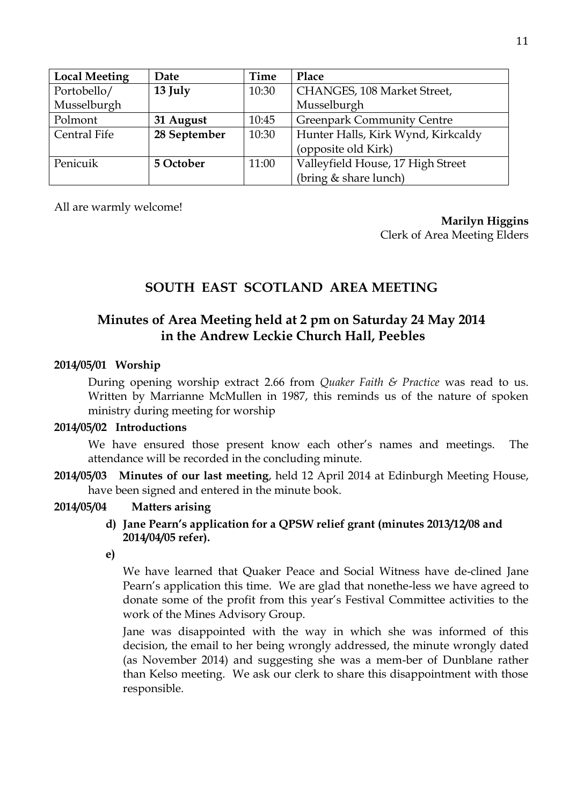| <b>Local Meeting</b> | Date         | Time  | Place                              |
|----------------------|--------------|-------|------------------------------------|
| Portobello/          | 13 July      | 10:30 | CHANGES, 108 Market Street,        |
| Musselburgh          |              |       | Musselburgh                        |
| Polmont              | 31 August    | 10:45 | <b>Greenpark Community Centre</b>  |
| Central Fife         | 28 September | 10:30 | Hunter Halls, Kirk Wynd, Kirkcaldy |
|                      |              |       | (opposite old Kirk)                |
| Penicuik             | 5 October    | 11:00 | Valleyfield House, 17 High Street  |
|                      |              |       | (bring & share lunch)              |

All are warmly welcome!

**Marilyn Higgins** 

Clerk of Area Meeting Elders

# **SOUTH EAST SCOTLAND AREA MEETING**

## **Minutes of Area Meeting held at 2 pm on Saturday 24 May 2014 in the Andrew Leckie Church Hall, Peebles**

#### **2014/05/01 Worship**

During opening worship extract 2.66 from *Quaker Faith & Practice* was read to us. Written by Marrianne McMullen in 1987, this reminds us of the nature of spoken ministry during meeting for worship

#### **2014/05/02 Introductions**

We have ensured those present know each other's names and meetings. The attendance will be recorded in the concluding minute.

**2014/05/03 Minutes of our last meeting**, held 12 April 2014 at Edinburgh Meeting House, have been signed and entered in the minute book.

#### **2014/05/04 Matters arising**

- **d) Jane Pearn's application for a QPSW relief grant (minutes 2013/12/08 and 2014/04/05 refer).**
- **e)**

We have learned that Quaker Peace and Social Witness have de-clined Jane Pearn's application this time. We are glad that nonethe-less we have agreed to donate some of the profit from this year's Festival Committee activities to the work of the Mines Advisory Group.

Jane was disappointed with the way in which she was informed of this decision, the email to her being wrongly addressed, the minute wrongly dated (as November 2014) and suggesting she was a mem-ber of Dunblane rather than Kelso meeting. We ask our clerk to share this disappointment with those responsible.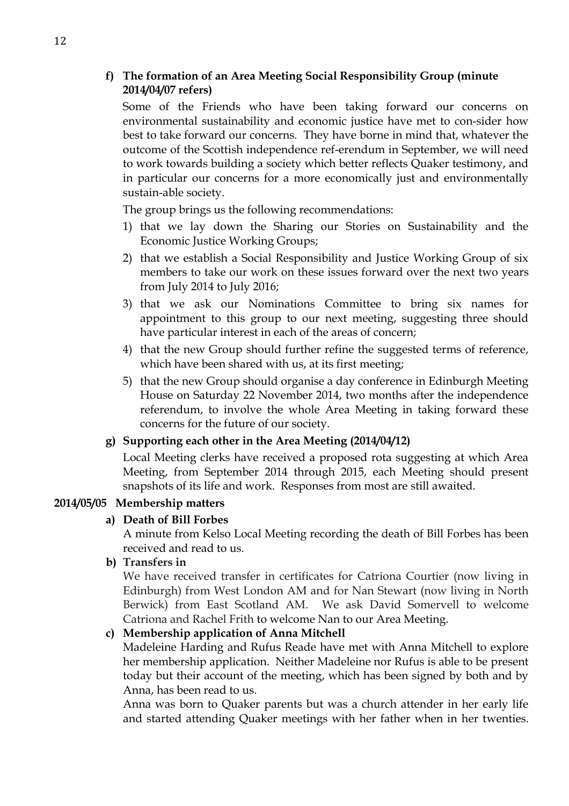#### **f) The formation of an Area Meeting Social Responsibility Group (minute 2014/04/07 refers)**

Some of the Friends who have been taking forward our concerns on environmental sustainability and economic justice have met to con-sider how best to take forward our concerns. They have borne in mind that, whatever the outcome of the Scottish independence ref-erendum in September, we will need to work towards building a society which better reflects Quaker testimony, and in particular our concerns for a more economically just and environmentally sustain-able society.

The group brings us the following recommendations:

- 1) that we lay down the Sharing our Stories on Sustainability and the Economic Justice Working Groups;
- 2) that we establish a Social Responsibility and Justice Working Group of six members to take our work on these issues forward over the next two years from July 2014 to July 2016;
- 3) that we ask our Nominations Committee to bring six names for appointment to this group to our next meeting, suggesting three should have particular interest in each of the areas of concern;
- 4) that the new Group should further refine the suggested terms of reference, which have been shared with us, at its first meeting;
- 5) that the new Group should organise a day conference in Edinburgh Meeting House on Saturday 22 November 2014, two months after the independence referendum, to involve the whole Area Meeting in taking forward these concerns for the future of our society.

#### **g) Supporting each other in the Area Meeting (2014/04/12)**

Local Meeting clerks have received a proposed rota suggesting at which Area Meeting, from September 2014 through 2015, each Meeting should present snapshots of its life and work. Responses from most are still awaited.

#### **2014/05/05 Membership matters**

#### **a) Death of Bill Forbes**

A minute from Kelso Local Meeting recording the death of Bill Forbes has been received and read to us.

**b) Transfers in**

We have received transfer in certificates for Catriona Courtier (now living in Edinburgh) from West London AM and for Nan Stewart (now living in North Berwick) from East Scotland AM. We ask David Somervell to welcome Catriona and Rachel Frith to welcome Nan to our Area Meeting.

#### **c) Membership application of Anna Mitchell**

Madeleine Harding and Rufus Reade have met with Anna Mitchell to explore her membership application. Neither Madeleine nor Rufus is able to be present today but their account of the meeting, which has been signed by both and by Anna, has been read to us.

Anna was born to Quaker parents but was a church attender in her early life and started attending Quaker meetings with her father when in her twenties.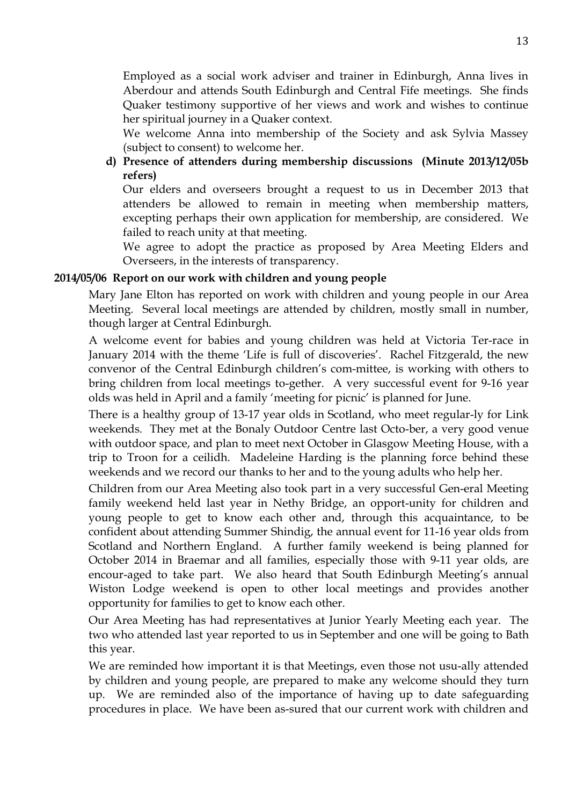Employed as a social work adviser and trainer in Edinburgh, Anna lives in Aberdour and attends South Edinburgh and Central Fife meetings. She finds Quaker testimony supportive of her views and work and wishes to continue her spiritual journey in a Quaker context.

We welcome Anna into membership of the Society and ask Sylvia Massey (subject to consent) to welcome her.

**d) Presence of attenders during membership discussions (Minute 2013/12/05b refers)**

Our elders and overseers brought a request to us in December 2013 that attenders be allowed to remain in meeting when membership matters, excepting perhaps their own application for membership, are considered. We failed to reach unity at that meeting.

We agree to adopt the practice as proposed by Area Meeting Elders and Overseers, in the interests of transparency.

#### **2014/05/06 Report on our work with children and young people**

Mary Jane Elton has reported on work with children and young people in our Area Meeting. Several local meetings are attended by children, mostly small in number, though larger at Central Edinburgh.

A welcome event for babies and young children was held at Victoria Ter-race in January 2014 with the theme 'Life is full of discoveries'. Rachel Fitzgerald, the new convenor of the Central Edinburgh children's com-mittee, is working with others to bring children from local meetings to-gether. A very successful event for 9-16 year olds was held in April and a family 'meeting for picnic' is planned for June.

There is a healthy group of 13-17 year olds in Scotland, who meet regular-ly for Link weekends. They met at the Bonaly Outdoor Centre last Octo-ber, a very good venue with outdoor space, and plan to meet next October in Glasgow Meeting House, with a trip to Troon for a ceilidh. Madeleine Harding is the planning force behind these weekends and we record our thanks to her and to the young adults who help her.

Children from our Area Meeting also took part in a very successful Gen-eral Meeting family weekend held last year in Nethy Bridge, an opport-unity for children and young people to get to know each other and, through this acquaintance, to be confident about attending Summer Shindig, the annual event for 11-16 year olds from Scotland and Northern England. A further family weekend is being planned for October 2014 in Braemar and all families, especially those with 9-11 year olds, are encour-aged to take part. We also heard that South Edinburgh Meeting's annual Wiston Lodge weekend is open to other local meetings and provides another opportunity for families to get to know each other.

Our Area Meeting has had representatives at Junior Yearly Meeting each year. The two who attended last year reported to us in September and one will be going to Bath this year.

We are reminded how important it is that Meetings, even those not usu-ally attended by children and young people, are prepared to make any welcome should they turn up. We are reminded also of the importance of having up to date safeguarding procedures in place. We have been as-sured that our current work with children and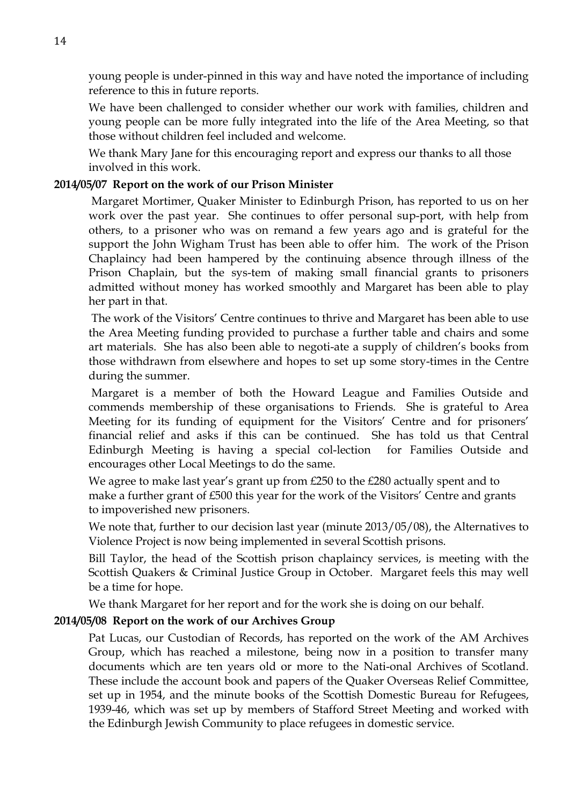young people is under-pinned in this way and have noted the importance of including reference to this in future reports.

We have been challenged to consider whether our work with families, children and young people can be more fully integrated into the life of the Area Meeting, so that those without children feel included and welcome.

We thank Mary Jane for this encouraging report and express our thanks to all those involved in this work.

#### **2014/05/07 Report on the work of our Prison Minister**

Margaret Mortimer, Quaker Minister to Edinburgh Prison, has reported to us on her work over the past year. She continues to offer personal sup-port, with help from others, to a prisoner who was on remand a few years ago and is grateful for the support the John Wigham Trust has been able to offer him. The work of the Prison Chaplaincy had been hampered by the continuing absence through illness of the Prison Chaplain, but the sys-tem of making small financial grants to prisoners admitted without money has worked smoothly and Margaret has been able to play her part in that.

The work of the Visitors' Centre continues to thrive and Margaret has been able to use the Area Meeting funding provided to purchase a further table and chairs and some art materials. She has also been able to negoti-ate a supply of children's books from those withdrawn from elsewhere and hopes to set up some story-times in the Centre during the summer.

Margaret is a member of both the Howard League and Families Outside and commends membership of these organisations to Friends. She is grateful to Area Meeting for its funding of equipment for the Visitors' Centre and for prisoners' financial relief and asks if this can be continued. She has told us that Central Edinburgh Meeting is having a special col-lection for Families Outside and encourages other Local Meetings to do the same.

We agree to make last year's grant up from £250 to the £280 actually spent and to make a further grant of £500 this year for the work of the Visitors' Centre and grants to impoverished new prisoners.

We note that, further to our decision last year (minute 2013/05/08), the Alternatives to Violence Project is now being implemented in several Scottish prisons.

Bill Taylor, the head of the Scottish prison chaplaincy services, is meeting with the Scottish Quakers & Criminal Justice Group in October. Margaret feels this may well be a time for hope.

We thank Margaret for her report and for the work she is doing on our behalf.

#### **2014/05/08 Report on the work of our Archives Group**

Pat Lucas, our Custodian of Records, has reported on the work of the AM Archives Group, which has reached a milestone, being now in a position to transfer many documents which are ten years old or more to the Nati-onal Archives of Scotland. These include the account book and papers of the Quaker Overseas Relief Committee, set up in 1954, and the minute books of the Scottish Domestic Bureau for Refugees, 1939-46, which was set up by members of Stafford Street Meeting and worked with the Edinburgh Jewish Community to place refugees in domestic service.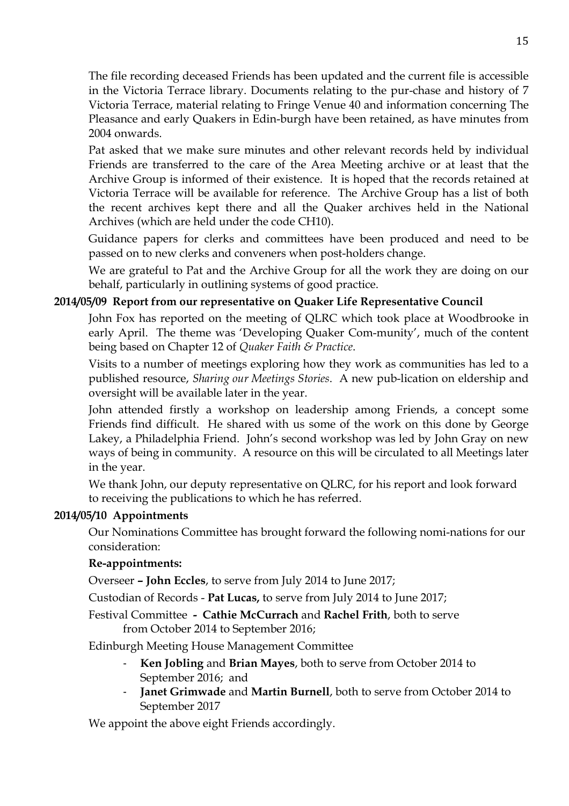The file recording deceased Friends has been updated and the current file is accessible in the Victoria Terrace library. Documents relating to the pur-chase and history of 7 Victoria Terrace, material relating to Fringe Venue 40 and information concerning The Pleasance and early Quakers in Edin-burgh have been retained, as have minutes from 2004 onwards.

Pat asked that we make sure minutes and other relevant records held by individual Friends are transferred to the care of the Area Meeting archive or at least that the Archive Group is informed of their existence. It is hoped that the records retained at Victoria Terrace will be available for reference. The Archive Group has a list of both the recent archives kept there and all the Quaker archives held in the National Archives (which are held under the code CH10).

Guidance papers for clerks and committees have been produced and need to be passed on to new clerks and conveners when post-holders change.

We are grateful to Pat and the Archive Group for all the work they are doing on our behalf, particularly in outlining systems of good practice.

#### **2014/05/09 Report from our representative on Quaker Life Representative Council**

John Fox has reported on the meeting of QLRC which took place at Woodbrooke in early April. The theme was 'Developing Quaker Com-munity', much of the content being based on Chapter 12 of *Quaker Faith & Practice*.

Visits to a number of meetings exploring how they work as communities has led to a published resource, *Sharing our Meetings Stories*. A new pub-lication on eldership and oversight will be available later in the year.

John attended firstly a workshop on leadership among Friends, a concept some Friends find difficult. He shared with us some of the work on this done by George Lakey, a Philadelphia Friend. John's second workshop was led by John Gray on new ways of being in community. A resource on this will be circulated to all Meetings later in the year.

We thank John, our deputy representative on QLRC, for his report and look forward to receiving the publications to which he has referred.

#### **2014/05/10 Appointments**

Our Nominations Committee has brought forward the following nomi-nations for our consideration:

#### **Re-appointments:**

Overseer **– John Eccles**, to serve from July 2014 to June 2017;

Custodian of Records - **Pat Lucas,** to serve from July 2014 to June 2017;

Festival Committee **- Cathie McCurrach** and **Rachel Frith**, both to serve from October 2014 to September 2016;

Edinburgh Meeting House Management Committee

- **Ken Jobling** and **Brian Mayes**, both to serve from October 2014 to September 2016; and
- **Janet Grimwade** and **Martin Burnell**, both to serve from October 2014 to September 2017

We appoint the above eight Friends accordingly.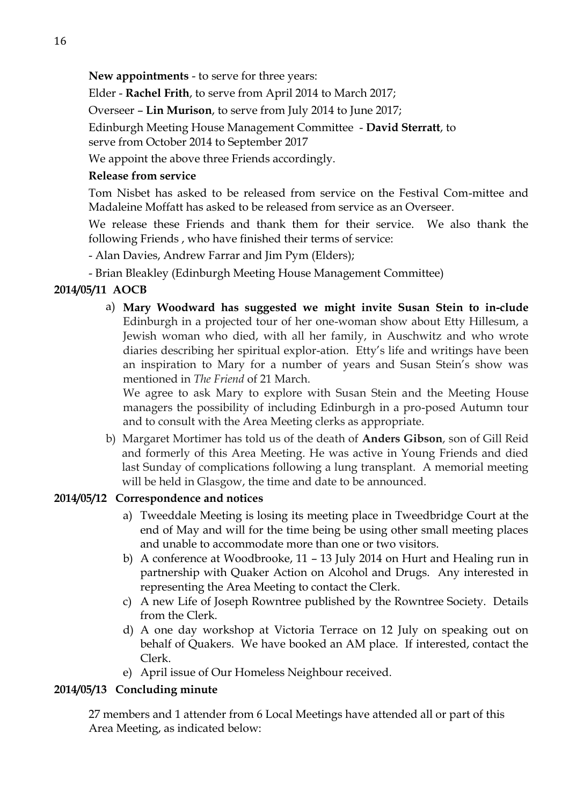**New appointments** - to serve for three years:

Elder - **Rachel Frith**, to serve from April 2014 to March 2017;

Overseer – **Lin Murison**, to serve from July 2014 to June 2017;

Edinburgh Meeting House Management Committee - **David Sterratt**, to

serve from October 2014 to September 2017

We appoint the above three Friends accordingly.

### **Release from service**

Tom Nisbet has asked to be released from service on the Festival Com-mittee and Madaleine Moffatt has asked to be released from service as an Overseer.

We release these Friends and thank them for their service. We also thank the following Friends , who have finished their terms of service:

- Alan Davies, Andrew Farrar and Jim Pym (Elders);

- Brian Bleakley (Edinburgh Meeting House Management Committee)

## **2014/05/11 AOCB**

a) **Mary Woodward has suggested we might invite Susan Stein to in-clude** Edinburgh in a projected tour of her one-woman show about Etty Hillesum, a Jewish woman who died, with all her family, in Auschwitz and who wrote diaries describing her spiritual explor-ation. Etty's life and writings have been an inspiration to Mary for a number of years and Susan Stein's show was mentioned in *The Friend* of 21 March.

We agree to ask Mary to explore with Susan Stein and the Meeting House managers the possibility of including Edinburgh in a pro-posed Autumn tour and to consult with the Area Meeting clerks as appropriate.

b) Margaret Mortimer has told us of the death of **Anders Gibson**, son of Gill Reid and formerly of this Area Meeting. He was active in Young Friends and died last Sunday of complications following a lung transplant. A memorial meeting will be held in Glasgow, the time and date to be announced.

## **2014/05/12 Correspondence and notices**

- a) Tweeddale Meeting is losing its meeting place in Tweedbridge Court at the end of May and will for the time being be using other small meeting places and unable to accommodate more than one or two visitors.
- b) A conference at Woodbrooke, 11 13 July 2014 on Hurt and Healing run in partnership with Quaker Action on Alcohol and Drugs. Any interested in representing the Area Meeting to contact the Clerk.
- c) A new Life of Joseph Rowntree published by the Rowntree Society. Details from the Clerk.
- d) A one day workshop at Victoria Terrace on 12 July on speaking out on behalf of Quakers. We have booked an AM place. If interested, contact the Clerk.
- e) April issue of Our Homeless Neighbour received.

#### **2014/05/13 Concluding minute**

27 members and 1 attender from 6 Local Meetings have attended all or part of this Area Meeting, as indicated below: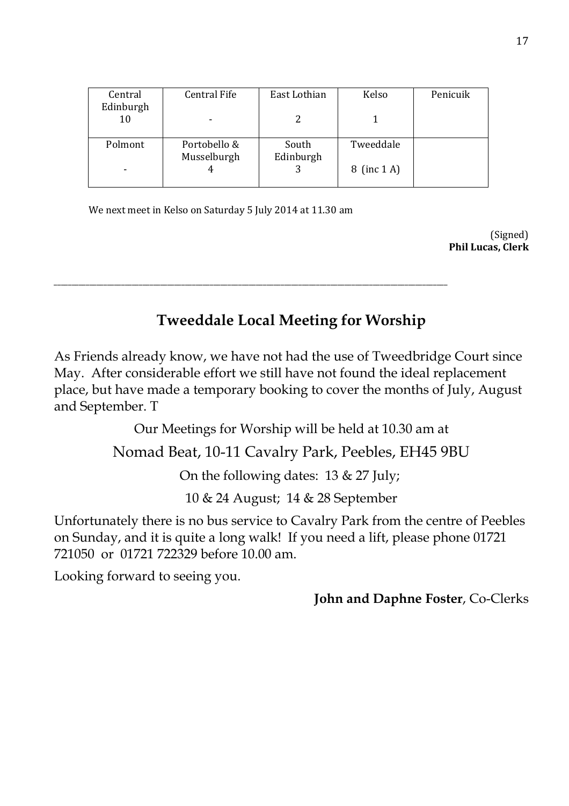| Central Fife | East Lothian | Kelso       | Penicuik  |
|--------------|--------------|-------------|-----------|
|              |              |             |           |
|              |              |             |           |
| Musselburgh  | Edinburgh    |             |           |
|              |              | 8 (inc 1 A) |           |
|              | Portobello & | South       | Tweeddale |

We next meet in Kelso on Saturday 5 July 2014 at 11.30 am

\_\_\_\_\_\_\_\_\_\_\_\_\_\_\_\_\_\_\_\_\_\_\_\_\_\_\_\_\_\_\_\_\_\_\_\_\_\_\_\_\_\_\_\_\_\_\_\_\_\_\_\_\_\_\_\_\_\_\_\_\_\_\_\_\_\_\_\_\_\_\_\_\_\_\_\_\_\_\_\_\_\_\_\_\_\_\_\_\_\_\_\_\_\_\_\_\_\_\_\_\_\_\_\_\_\_\_\_\_\_\_

(Signed) **Phil Lucas, Clerk**

# **Tweeddale Local Meeting for Worship**

As Friends already know, we have not had the use of Tweedbridge Court since May. After considerable effort we still have not found the ideal replacement place, but have made a temporary booking to cover the months of July, August and September. T

Our Meetings for Worship will be held at 10.30 am at

# Nomad Beat, 10-11 Cavalry Park, Peebles, EH45 9BU

On the following dates: 13 & 27 July;

10 & 24 August; 14 & 28 September

Unfortunately there is no bus service to Cavalry Park from the centre of Peebles on Sunday, and it is quite a long walk! If you need a lift, please phone 01721 721050 or 01721 722329 before 10.00 am.

Looking forward to seeing you.

**John and Daphne Foster**, Co-Clerks